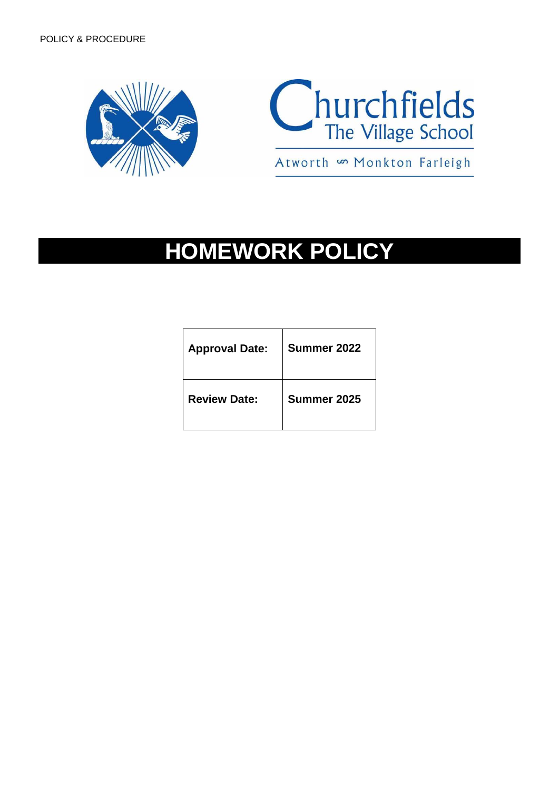



**HOMEWORK POLICY**

| <b>Approval Date:</b> | Summer 2022 |
|-----------------------|-------------|
| <b>Review Date:</b>   | Summer 2025 |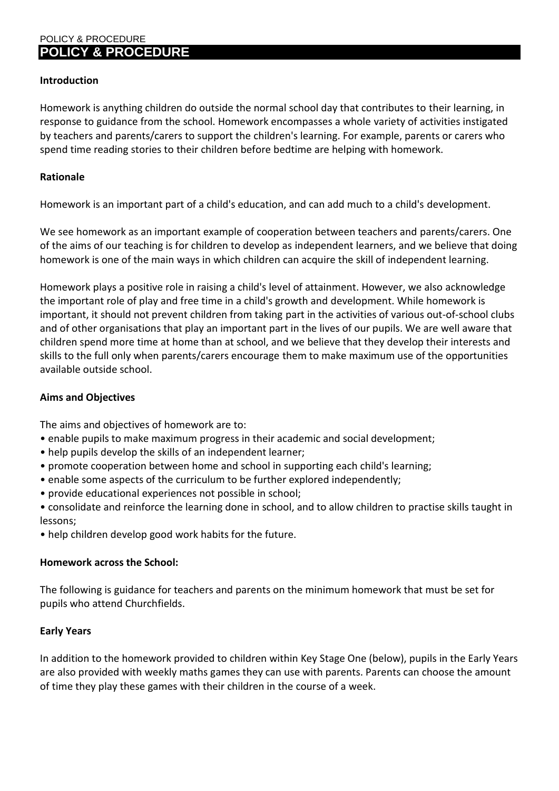# **Introduction**

Homework is anything children do outside the normal school day that contributes to their learning, in response to guidance from the school. Homework encompasses a whole variety of activities instigated by teachers and parents/carers to support the children's learning. For example, parents or carers who spend time reading stories to their children before bedtime are helping with homework.

# **Rationale**

Homework is an important part of a child's education, and can add much to a child's development.

We see homework as an important example of cooperation between teachers and parents/carers. One of the aims of our teaching is for children to develop as independent learners, and we believe that doing homework is one of the main ways in which children can acquire the skill of independent learning.

Homework plays a positive role in raising a child's level of attainment. However, we also acknowledge the important role of play and free time in a child's growth and development. While homework is important, it should not prevent children from taking part in the activities of various out-of-school clubs and of other organisations that play an important part in the lives of our pupils. We are well aware that children spend more time at home than at school, and we believe that they develop their interests and skills to the full only when parents/carers encourage them to make maximum use of the opportunities available outside school.

### **Aims and Objectives**

The aims and objectives of homework are to:

- enable pupils to make maximum progress in their academic and social development;
- help pupils develop the skills of an independent learner;
- promote cooperation between home and school in supporting each child's learning;
- enable some aspects of the curriculum to be further explored independently;
- provide educational experiences not possible in school;

• consolidate and reinforce the learning done in school, and to allow children to practise skills taught in lessons;

• help children develop good work habits for the future.

#### **Homework across the School:**

The following is guidance for teachers and parents on the minimum homework that must be set for pupils who attend Churchfields.

#### **Early Years**

In addition to the homework provided to children within Key Stage One (below), pupils in the Early Years are also provided with weekly maths games they can use with parents. Parents can choose the amount of time they play these games with their children in the course of a week.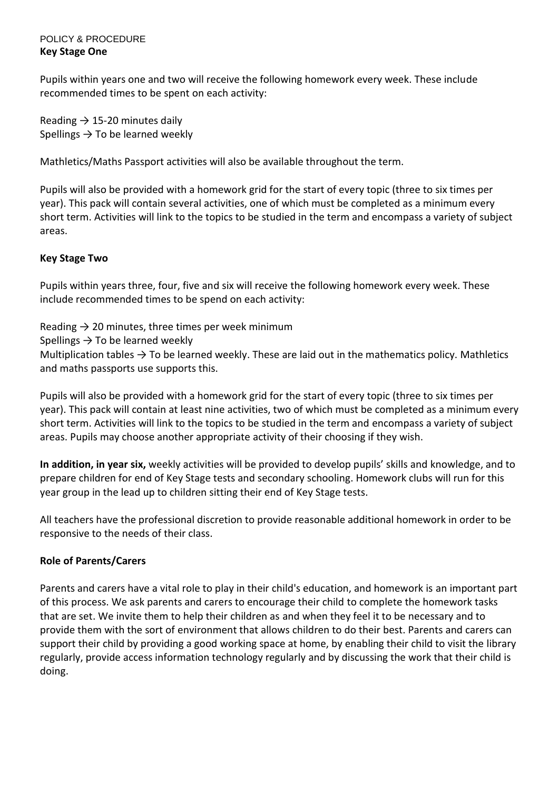# POLICY & PROCEDURE **Key Stage One**

Pupils within years one and two will receive the following homework every week. These include recommended times to be spent on each activity:

Reading  $\rightarrow$  15-20 minutes daily Spellings  $\rightarrow$  To be learned weekly

Mathletics/Maths Passport activities will also be available throughout the term.

Pupils will also be provided with a homework grid for the start of every topic (three to six times per year). This pack will contain several activities, one of which must be completed as a minimum every short term. Activities will link to the topics to be studied in the term and encompass a variety of subject areas.

# **Key Stage Two**

Pupils within years three, four, five and six will receive the following homework every week. These include recommended times to be spend on each activity:

Reading  $\rightarrow$  20 minutes, three times per week minimum

Spellings  $\rightarrow$  To be learned weekly

Multiplication tables  $\rightarrow$  To be learned weekly. These are laid out in the mathematics policy. Mathletics and maths passports use supports this.

Pupils will also be provided with a homework grid for the start of every topic (three to six times per year). This pack will contain at least nine activities, two of which must be completed as a minimum every short term. Activities will link to the topics to be studied in the term and encompass a variety of subject areas. Pupils may choose another appropriate activity of their choosing if they wish.

**In addition, in year six,** weekly activities will be provided to develop pupils' skills and knowledge, and to prepare children for end of Key Stage tests and secondary schooling. Homework clubs will run for this year group in the lead up to children sitting their end of Key Stage tests.

All teachers have the professional discretion to provide reasonable additional homework in order to be responsive to the needs of their class.

# **Role of Parents/Carers**

Parents and carers have a vital role to play in their child's education, and homework is an important part of this process. We ask parents and carers to encourage their child to complete the homework tasks that are set. We invite them to help their children as and when they feel it to be necessary and to provide them with the sort of environment that allows children to do their best. Parents and carers can support their child by providing a good working space at home, by enabling their child to visit the library regularly, provide access information technology regularly and by discussing the work that their child is doing.